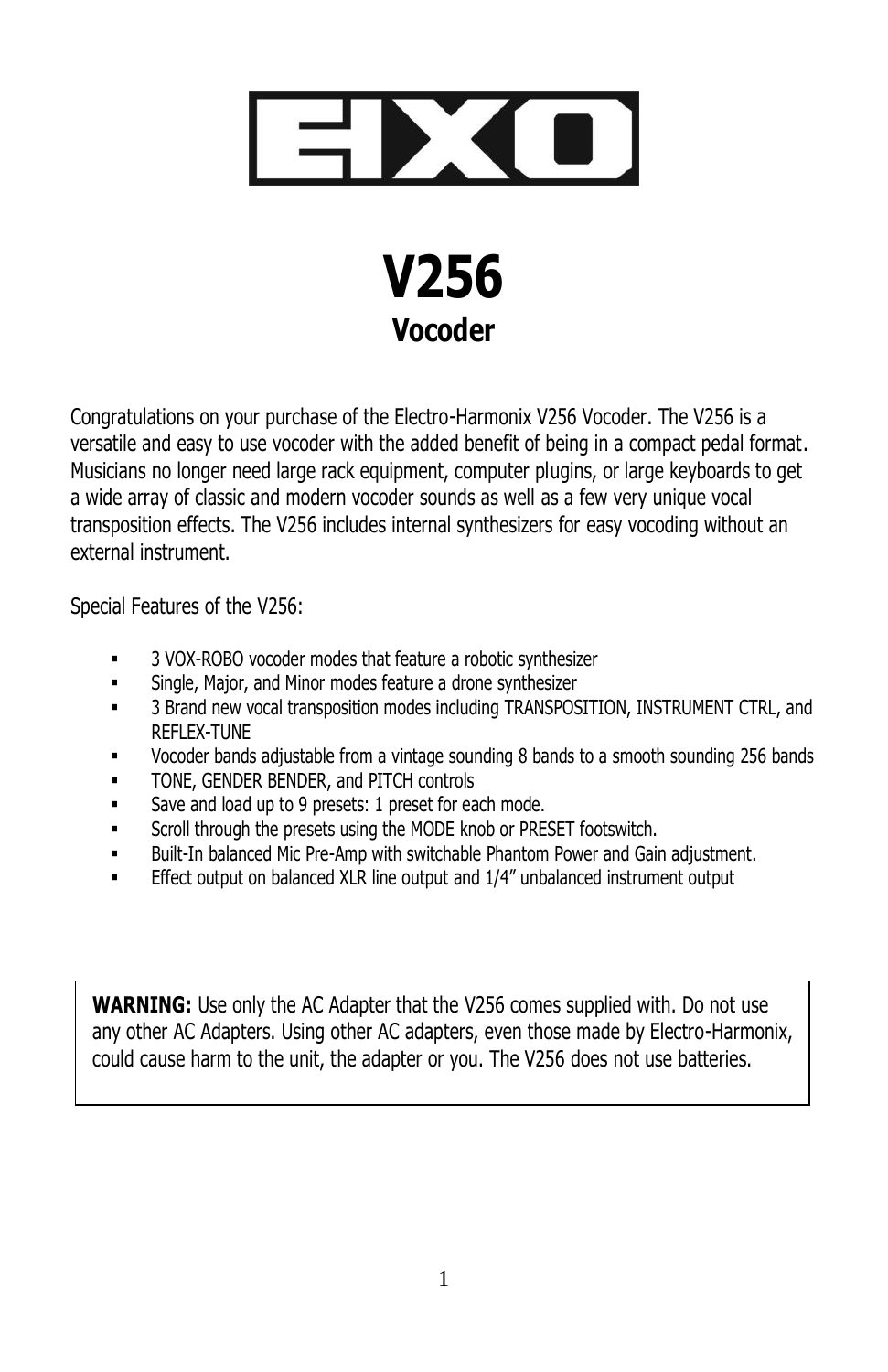



Congratulations on your purchase of the Electro-Harmonix V256 Vocoder. The V256 is a versatile and easy to use vocoder with the added benefit of being in a compact pedal format. Musicians no longer need large rack equipment, computer plugins, or large keyboards to get a wide array of classic and modern vocoder sounds as well as a few very unique vocal transposition effects. The V256 includes internal synthesizers for easy vocoding without an external instrument.

Special Features of the V256:

- 3 VOX-ROBO vocoder modes that feature a robotic synthesizer
- **Single, Major, and Minor modes feature a drone synthesizer**
- **■** 3 Brand new vocal transposition modes including TRANSPOSITION, INSTRUMENT CTRL, and REFLEX-TUNE
- Vocoder bands adjustable from a vintage sounding 8 bands to a smooth sounding 256 bands
- **TONE, GENDER BENDER, and PITCH controls**
- Save and load up to 9 presets: 1 preset for each mode.
- **•** Scroll through the presets using the MODE knob or PRESET footswitch.
- Built-In balanced Mic Pre-Amp with switchable Phantom Power and Gain adjustment.
- Effect output on balanced XLR line output and 1/4" unbalanced instrument output

**WARNING:** Use only the AC Adapter that the V256 comes supplied with. Do not use any other AC Adapters. Using other AC adapters, even those made by Electro-Harmonix, could cause harm to the unit, the adapter or you. The V256 does not use batteries.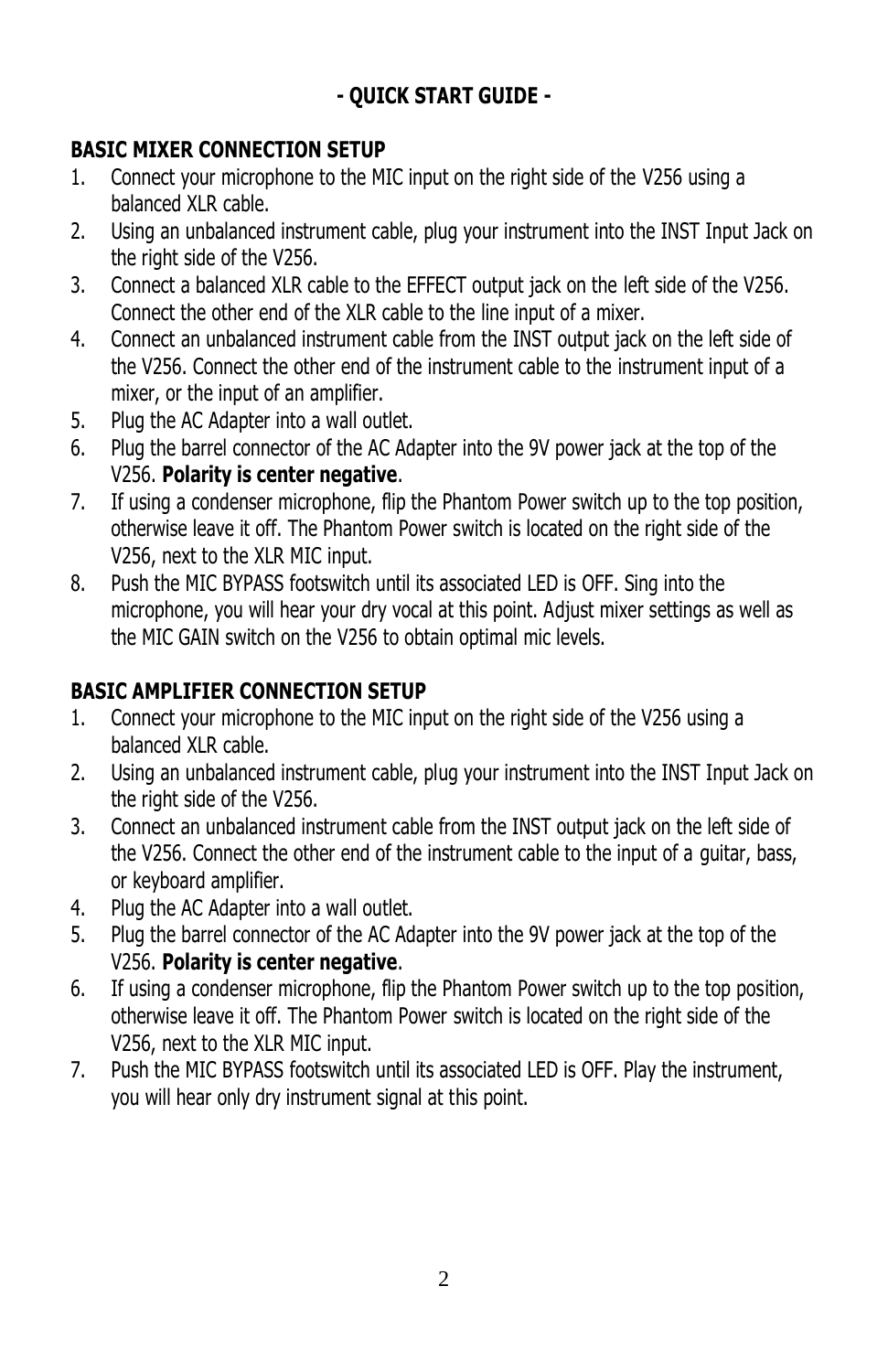# **- QUICK START GUIDE -**

# **BASIC MIXER CONNECTION SETUP**

- 1. Connect your microphone to the MIC input on the right side of the V256 using a balanced XLR cable.
- 2. Using an unbalanced instrument cable, plug your instrument into the INST Input Jack on the right side of the V256.
- 3. Connect a balanced XLR cable to the EFFECT output jack on the left side of the V256. Connect the other end of the XLR cable to the line input of a mixer.
- 4. Connect an unbalanced instrument cable from the INST output jack on the left side of the V256. Connect the other end of the instrument cable to the instrument input of a mixer, or the input of an amplifier.
- 5. Plug the AC Adapter into a wall outlet.
- 6. Plug the barrel connector of the AC Adapter into the 9V power jack at the top of the V256. **Polarity is center negative**.
- 7. If using a condenser microphone, flip the Phantom Power switch up to the top position, otherwise leave it off. The Phantom Power switch is located on the right side of the V256, next to the XLR MIC input.
- 8. Push the MIC BYPASS footswitch until its associated LED is OFF. Sing into the microphone, you will hear your dry vocal at this point. Adjust mixer settings as well as the MIC GAIN switch on the V256 to obtain optimal mic levels.

# **BASIC AMPLIFIER CONNECTION SETUP**

- 1. Connect your microphone to the MIC input on the right side of the V256 using a balanced XLR cable.
- 2. Using an unbalanced instrument cable, plug your instrument into the INST Input Jack on the right side of the V256.
- 3. Connect an unbalanced instrument cable from the INST output jack on the left side of the V256. Connect the other end of the instrument cable to the input of a guitar, bass, or keyboard amplifier.
- 4. Plug the AC Adapter into a wall outlet.
- 5. Plug the barrel connector of the AC Adapter into the 9V power jack at the top of the V256. **Polarity is center negative**.
- 6. If using a condenser microphone, flip the Phantom Power switch up to the top position, otherwise leave it off. The Phantom Power switch is located on the right side of the V256, next to the XLR MIC input.
- 7. Push the MIC BYPASS footswitch until its associated LED is OFF. Play the instrument, you will hear only dry instrument signal at this point.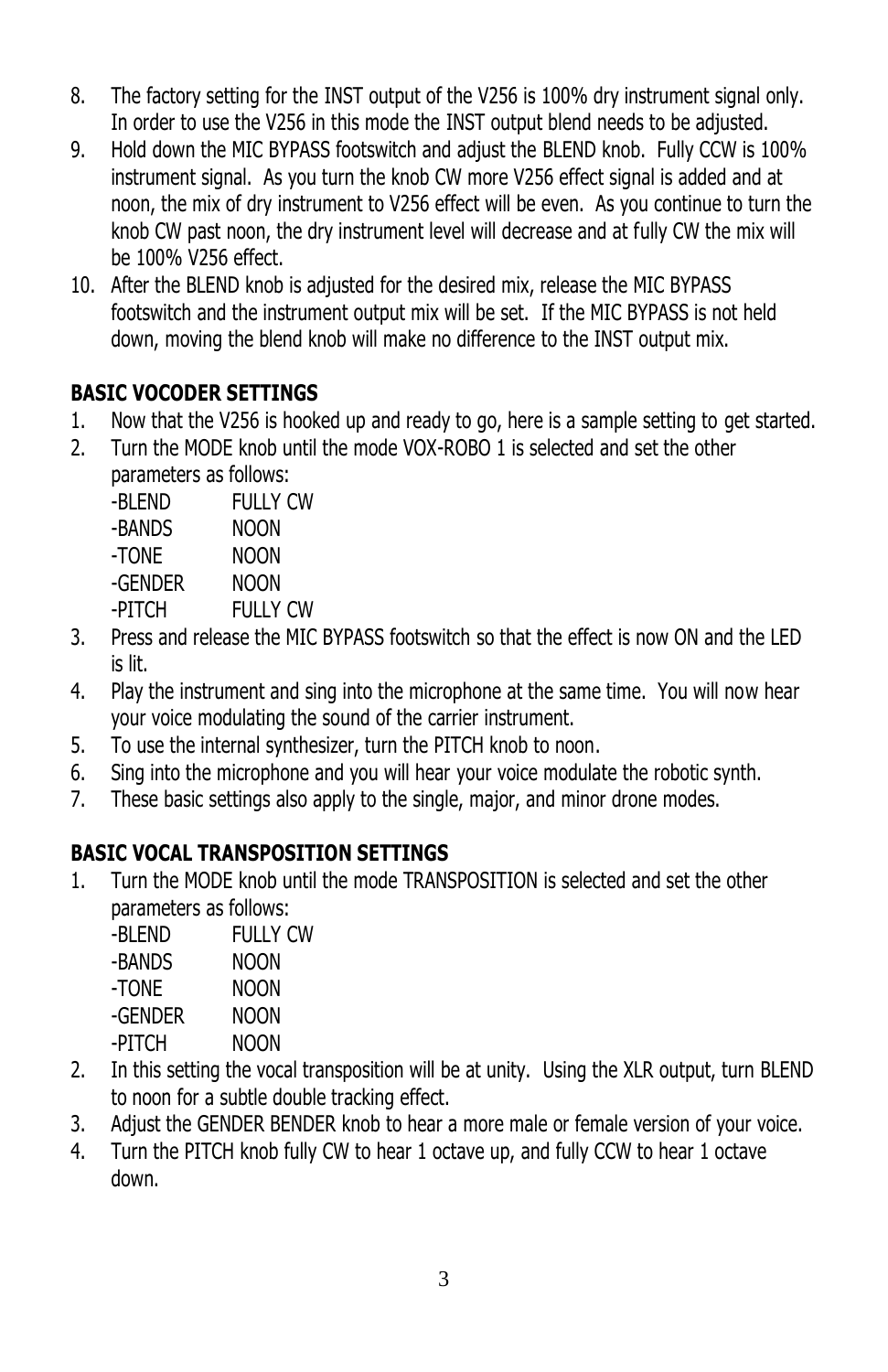- 8. The factory setting for the INST output of the V256 is 100% dry instrument signal only. In order to use the V256 in this mode the INST output blend needs to be adjusted.
- 9. Hold down the MIC BYPASS footswitch and adjust the BLEND knob. Fully CCW is 100% instrument signal. As you turn the knob CW more V256 effect signal is added and at noon, the mix of dry instrument to V256 effect will be even. As you continue to turn the knob CW past noon, the dry instrument level will decrease and at fully CW the mix will be 100% V256 effect.
- 10. After the BLEND knob is adjusted for the desired mix, release the MIC BYPASS footswitch and the instrument output mix will be set. If the MIC BYPASS is not held down, moving the blend knob will make no difference to the INST output mix.

# **BASIC VOCODER SETTINGS**

- 1. Now that the V256 is hooked up and ready to go, here is a sample setting to get started.
- 2. Turn the MODE knob until the mode VOX-ROBO 1 is selected and set the other
	- parameters as follows:

-BLEND FULLY CW

-BANDS NOON

-TONE NOON

- -GENDER NOON -PITCH FULLY CW
- 3. Press and release the MIC BYPASS footswitch so that the effect is now ON and the LED is lit.
- 4. Play the instrument and sing into the microphone at the same time. You will now hear your voice modulating the sound of the carrier instrument.
- 5. To use the internal synthesizer, turn the PITCH knob to noon.
- 6. Sing into the microphone and you will hear your voice modulate the robotic synth.
- 7. These basic settings also apply to the single, major, and minor drone modes.

# **BASIC VOCAL TRANSPOSITION SETTINGS**

1. Turn the MODE knob until the mode TRANSPOSITION is selected and set the other parameters as follows:

-BLEND FULLY CW

-BANDS NOON

-TONE NOON

-GENDER NOON

- -PITCH NOON
- 2. In this setting the vocal transposition will be at unity. Using the XLR output, turn BLEND to noon for a subtle double tracking effect.
- 3. Adjust the GENDER BENDER knob to hear a more male or female version of your voice.
- 4. Turn the PITCH knob fully CW to hear 1 octave up, and fully CCW to hear 1 octave down.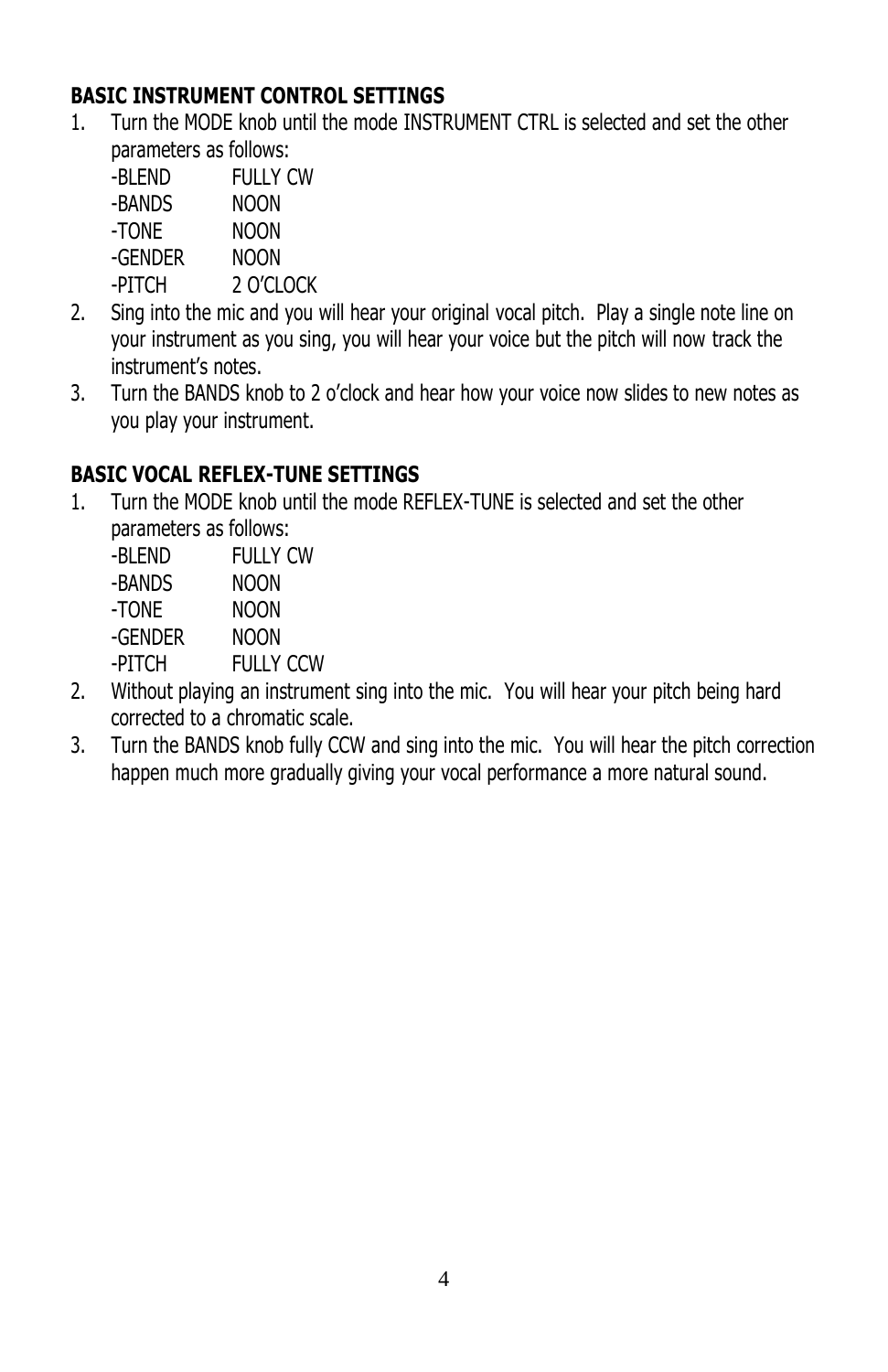# **BASIC INSTRUMENT CONTROL SETTINGS**

- 1. Turn the MODE knob until the mode INSTRUMENT CTRL is selected and set the other parameters as follows:
	- -BLEND FULLY CW -BANDS NOON
	- -TONE NOON
	- -GENDER NOON
	-
	- -PITCH 2 O'CLOCK
- 2. Sing into the mic and you will hear your original vocal pitch. Play a single note line on your instrument as you sing, you will hear your voice but the pitch will now track the instrument's notes.
- 3. Turn the BANDS knob to 2 o'clock and hear how your voice now slides to new notes as you play your instrument.

# **BASIC VOCAL REFLEX-TUNE SETTINGS**

1. Turn the MODE knob until the mode REFLEX-TUNE is selected and set the other parameters as follows:

-BLEND FULLY CW

- -BANDS NOON
- -TONE NOON
- -GENDER NOON
- -PITCH FULLY CCW
- 2. Without playing an instrument sing into the mic. You will hear your pitch being hard corrected to a chromatic scale.
- 3. Turn the BANDS knob fully CCW and sing into the mic. You will hear the pitch correction happen much more gradually giving your vocal performance a more natural sound.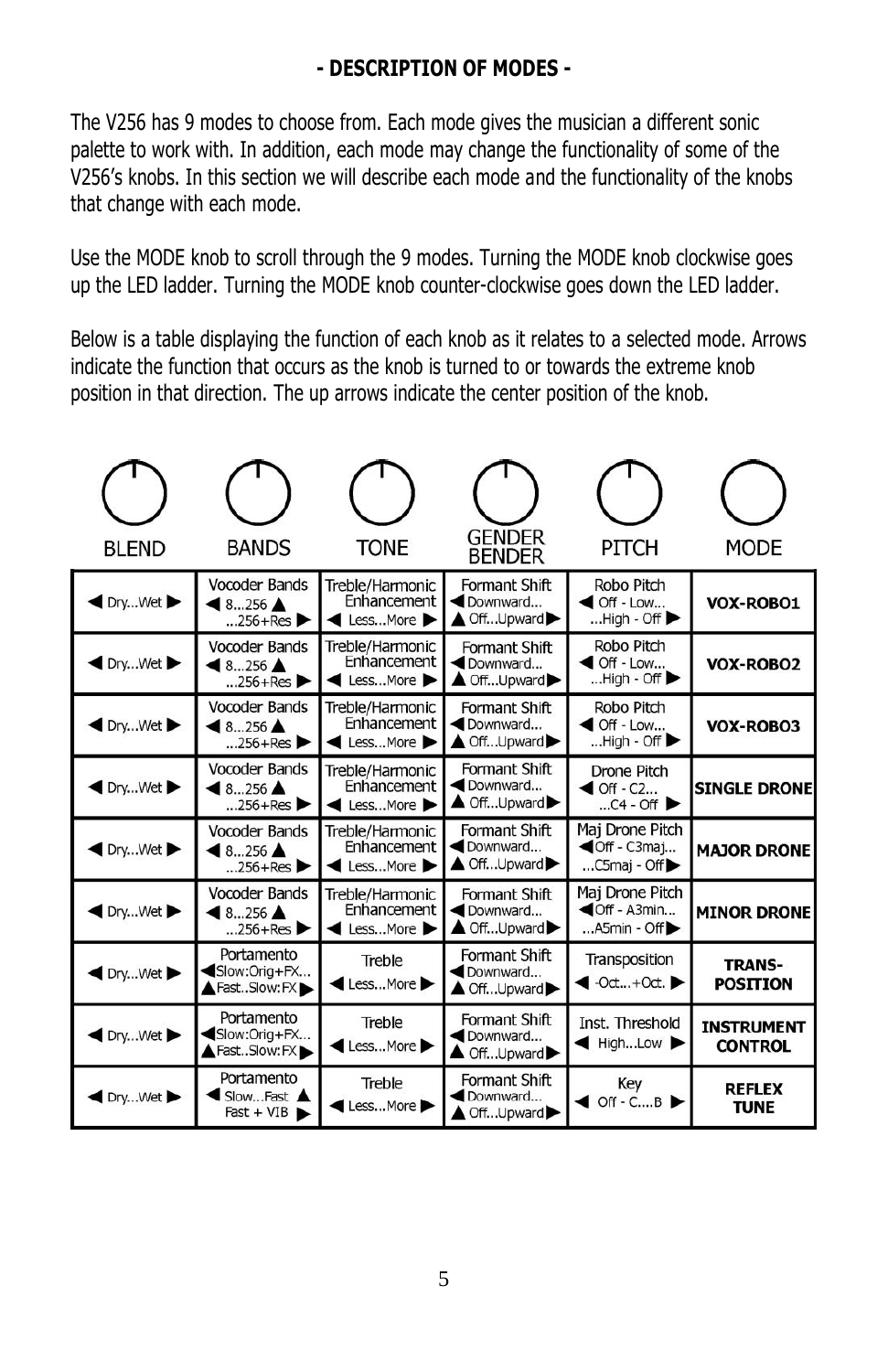## **- DESCRIPTION OF MODES -**

The V256 has 9 modes to choose from. Each mode gives the musician a different sonic palette to work with. In addition, each mode may change the functionality of some of the V256's knobs. In this section we will describe each mode and the functionality of the knobs that change with each mode.

Use the MODE knob to scroll through the 9 modes. Turning the MODE knob clockwise goes up the LED ladder. Turning the MODE knob counter-clockwise goes down the LED ladder.

Below is a table displaying the function of each knob as it relates to a selected mode. Arrows indicate the function that occurs as the knob is turned to or towards the extreme knob position in that direction. The up arrows indicate the center position of the knob.

| <b>BLEND</b>      | <b>BANDS</b>                                                 | TONE                                       | <b>GENDER</b><br><b>BENDER</b>                     | PITCH                                                                                       | <b>MODE</b>                         |
|-------------------|--------------------------------------------------------------|--------------------------------------------|----------------------------------------------------|---------------------------------------------------------------------------------------------|-------------------------------------|
| DryWet            | <b>Vocoder Bands</b><br>$8256$ $\triangle$<br>$256 + Res$    | Treble/Harmonic<br>Enhancement<br>LessMore | Formant Shift<br>Downward<br>▲ OffUpward▶          | Robo Pitch<br>$\triangleleft$ Off - Low<br>$$ High - Off $\blacktriangleright$              | VOX-ROBO1                           |
| DryWet            | <b>Vocoder Bands</b><br>$8256$ $\triangle$<br>$256 + Res$    | Treble/Harmonic<br>Enhancement<br>LessMore | Formant Shift<br>Downward<br>▲ OffUpward▶          | Robo Pitch<br>$\triangleleft$ Off - Low<br>$$ High - Off $\blacktriangleright$              | <b>VOX-ROBO2</b>                    |
| DryWet            | <b>Vocoder Bands</b><br>$-8256$ $\triangle$<br>$.256 + Res$  | Treble/Harmonic<br>Enhancement<br>LessMore | Formant Shift<br>Downward<br>▲ OffUpward▶          | Robo Pitch<br>$\blacktriangleleft$ Off - Low<br>$$ High - Off $\blacktriangleright$         | VOX-ROBO3                           |
| DryWet            | Vocoder Bands<br>$48256$ $\triangle$<br>$256 + Res$          | Treble/Harmonic<br>Enhancement<br>LessMore | Formant Shift<br>Downward<br>▲ OffUpward▶          | <b>Drone Pitch</b><br>$\triangleleft$ Off - C2<br>$$ C4 - Off $\blacktriangleright$         | <b>SINGLE DRONE</b>                 |
| DrvWet            | <b>Vocoder Bands</b><br>$18256$ $\triangle$<br>$0.256 + Res$ | Treble/Harmonic<br>Enhancement<br>LessMore | Formant Shift<br>Downward<br>▲ OffUpward▶          | Maj Drone Pitch<br><b>◀Off</b> - C3maj<br>$$ C5maj - Off $\blacktriangleright$              | <b>MAJOR DRONE</b>                  |
| DryWet            | Vocoder Bands<br>$48256$ $\triangle$<br>$256 + Res$          | Treble/Harmonic<br>Enhancement<br>LessMore | Formant Shift<br>Downward<br>▲ OffUpward▶          | Maj Drone Pitch<br>$\blacktriangleleft$ Off - A3min<br>$$ A5min - Off $\blacktriangleright$ | <b>MINOR DRONE</b>                  |
| DryWet            | Portamento<br>Slow:Orig+FX<br>FastSlow:FX                    | Treble<br>LessMore                         | Formant Shift<br>Downward<br>▲ OffUpward▶          | Transposition<br>$\bullet$ -Oct+Oct.                                                        | <b>TRANS-</b><br><b>POSITION</b>    |
| $\bigcirc$ DryWet | Portamento<br>Slow:Orig+FX<br>▲ FastSlow: FX ▶               | Treble<br>LessMore                         | Formant Shift<br>Downward<br>$\triangle$ OffUpward | Inst. Threshold<br>HighLow $\blacktriangleright$                                            | <b>INSTRUMENT</b><br><b>CONTROL</b> |
| DryWet            | Portamento<br>SlowFast<br>$Fast + VIB$                       | Treble<br>LessMore                         | Formant Shift<br>Downward<br>▲ OffUpward           | Key<br>$\bullet$ Off - CB                                                                   | <b>REFLEX</b><br><b>TUNE</b>        |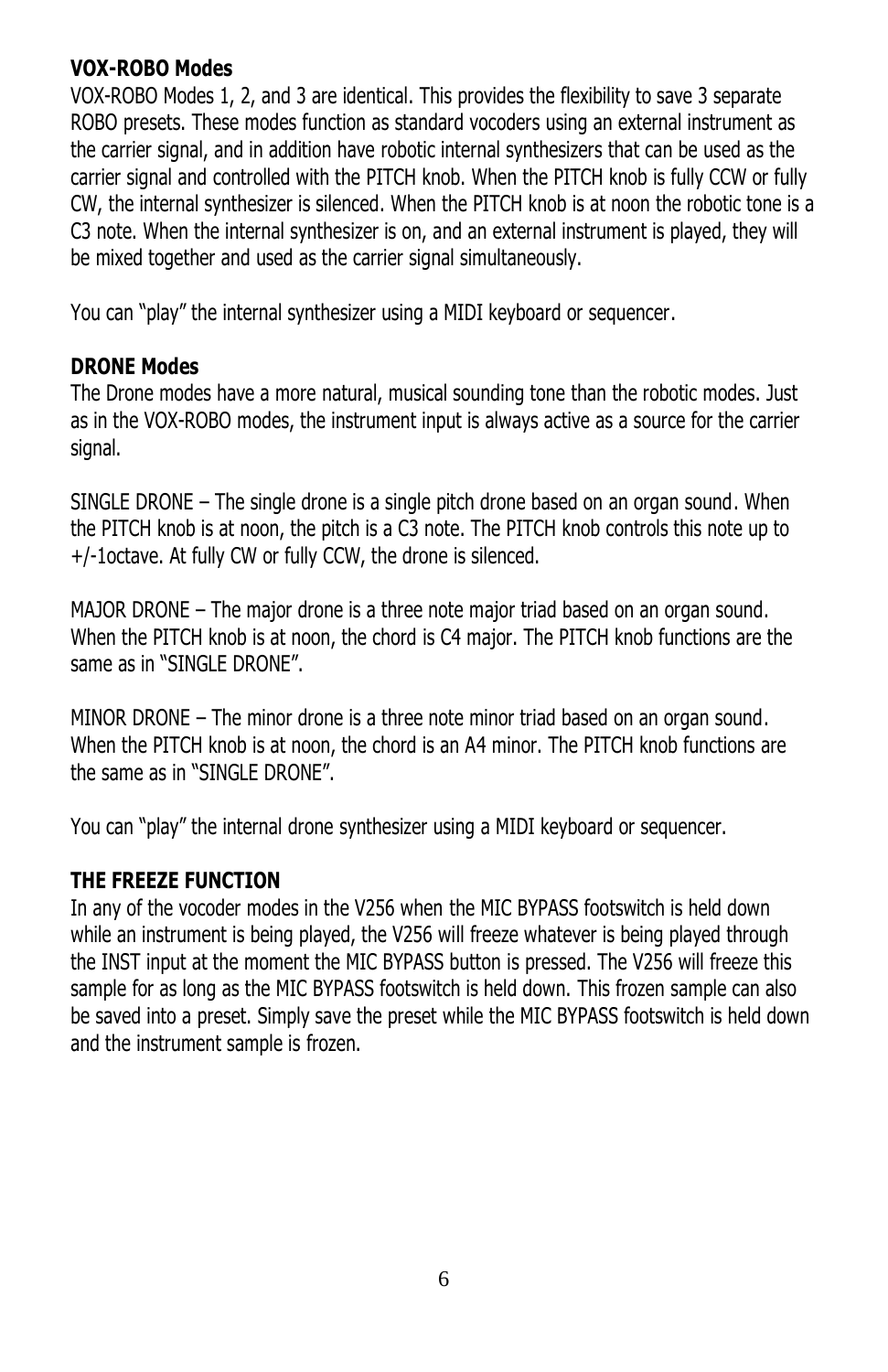#### **VOX-ROBO Modes**

VOX-ROBO Modes 1, 2, and 3 are identical. This provides the flexibility to save 3 separate ROBO presets. These modes function as standard vocoders using an external instrument as the carrier signal, and in addition have robotic internal synthesizers that can be used as the carrier signal and controlled with the PITCH knob. When the PITCH knob is fully CCW or fully CW, the internal synthesizer is silenced. When the PITCH knob is at noon the robotic tone is a C3 note. When the internal synthesizer is on, and an external instrument is played, they will be mixed together and used as the carrier signal simultaneously.

You can "play" the internal synthesizer using a MIDI keyboard or sequencer.

## **DRONE Modes**

The Drone modes have a more natural, musical sounding tone than the robotic modes. Just as in the VOX-ROBO modes, the instrument input is always active as a source for the carrier signal.

SINGLE DRONE – The single drone is a single pitch drone based on an organ sound. When the PITCH knob is at noon, the pitch is a C3 note. The PITCH knob controls this note up to +/-1octave. At fully CW or fully CCW, the drone is silenced.

MAJOR DRONE – The major drone is a three note major triad based on an organ sound. When the PITCH knob is at noon, the chord is C4 major. The PITCH knob functions are the same as in "SINGLE DRONE".

MINOR DRONE – The minor drone is a three note minor triad based on an organ sound. When the PITCH knob is at noon, the chord is an A4 minor. The PITCH knob functions are the same as in "SINGLE DRONE".

You can "play" the internal drone synthesizer using a MIDI keyboard or sequencer.

## **THE FREEZE FUNCTION**

In any of the vocoder modes in the V256 when the MIC BYPASS footswitch is held down while an instrument is being played, the V256 will freeze whatever is being played through the INST input at the moment the MIC BYPASS button is pressed. The V256 will freeze this sample for as long as the MIC BYPASS footswitch is held down. This frozen sample can also be saved into a preset. Simply save the preset while the MIC BYPASS footswitch is held down and the instrument sample is frozen.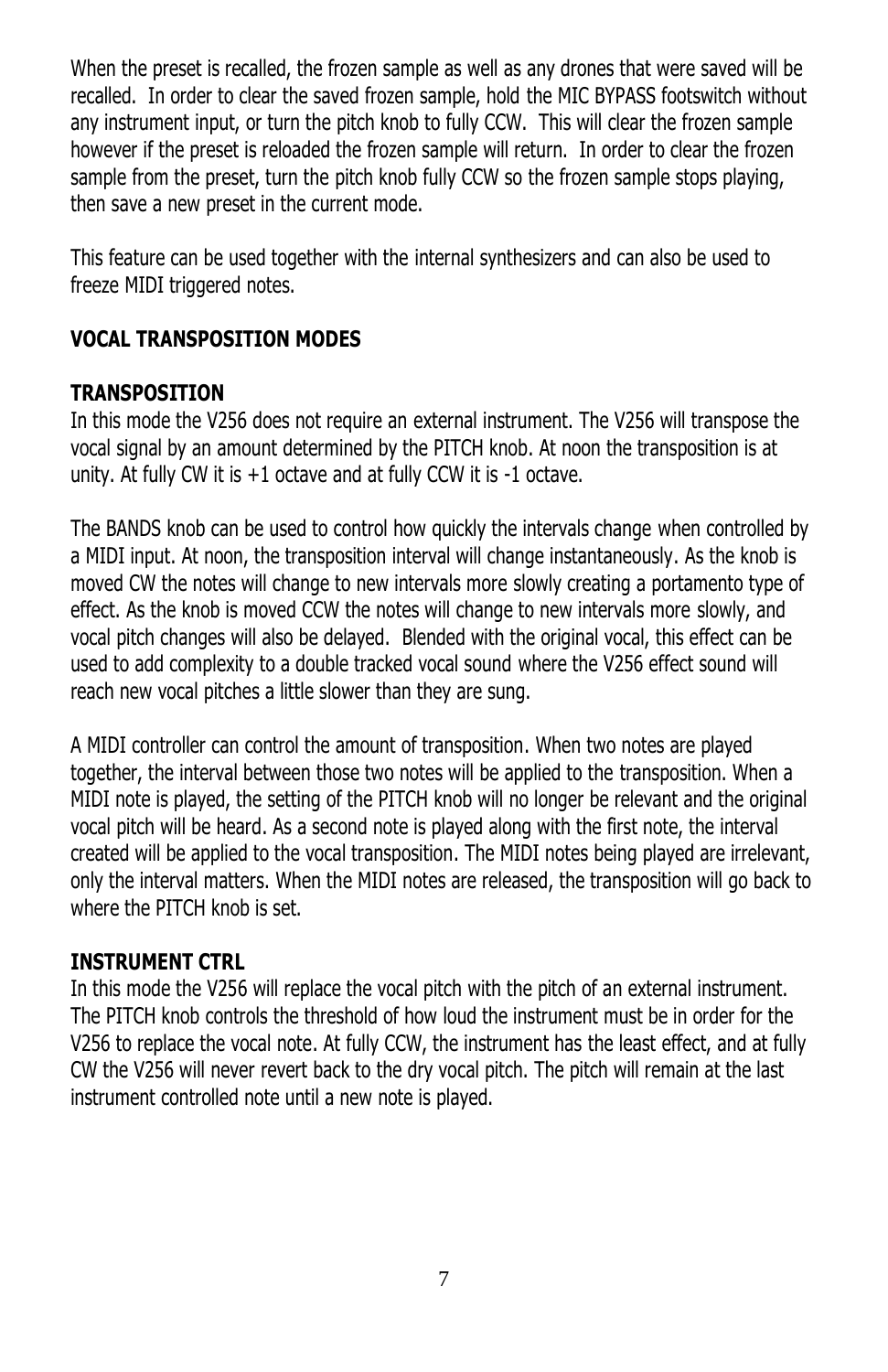When the preset is recalled, the frozen sample as well as any drones that were saved will be recalled. In order to clear the saved frozen sample, hold the MIC BYPASS footswitch without any instrument input, or turn the pitch knob to fully CCW. This will clear the frozen sample however if the preset is reloaded the frozen sample will return. In order to clear the frozen sample from the preset, turn the pitch knob fully CCW so the frozen sample stops playing, then save a new preset in the current mode.

This feature can be used together with the internal synthesizers and can also be used to freeze MIDI triggered notes.

# **VOCAL TRANSPOSITION MODES**

#### **TRANSPOSITION**

In this mode the V256 does not require an external instrument. The V256 will transpose the vocal signal by an amount determined by the PITCH knob. At noon the transposition is at unity. At fully CW it is +1 octave and at fully CCW it is -1 octave.

The BANDS knob can be used to control how quickly the intervals change when controlled by a MIDI input. At noon, the transposition interval will change instantaneously. As the knob is moved CW the notes will change to new intervals more slowly creating a portamento type of effect. As the knob is moved CCW the notes will change to new intervals more slowly, and vocal pitch changes will also be delayed. Blended with the original vocal, this effect can be used to add complexity to a double tracked vocal sound where the V256 effect sound will reach new vocal pitches a little slower than they are sung.

A MIDI controller can control the amount of transposition. When two notes are played together, the interval between those two notes will be applied to the transposition. When a MIDI note is played, the setting of the PITCH knob will no longer be relevant and the original vocal pitch will be heard. As a second note is played along with the first note, the interval created will be applied to the vocal transposition. The MIDI notes being played are irrelevant, only the interval matters. When the MIDI notes are released, the transposition will go back to where the PITCH knob is set.

#### **INSTRUMENT CTRL**

In this mode the V256 will replace the vocal pitch with the pitch of an external instrument. The PITCH knob controls the threshold of how loud the instrument must be in order for the V256 to replace the vocal note. At fully CCW, the instrument has the least effect, and at fully CW the V256 will never revert back to the dry vocal pitch. The pitch will remain at the last instrument controlled note until a new note is played.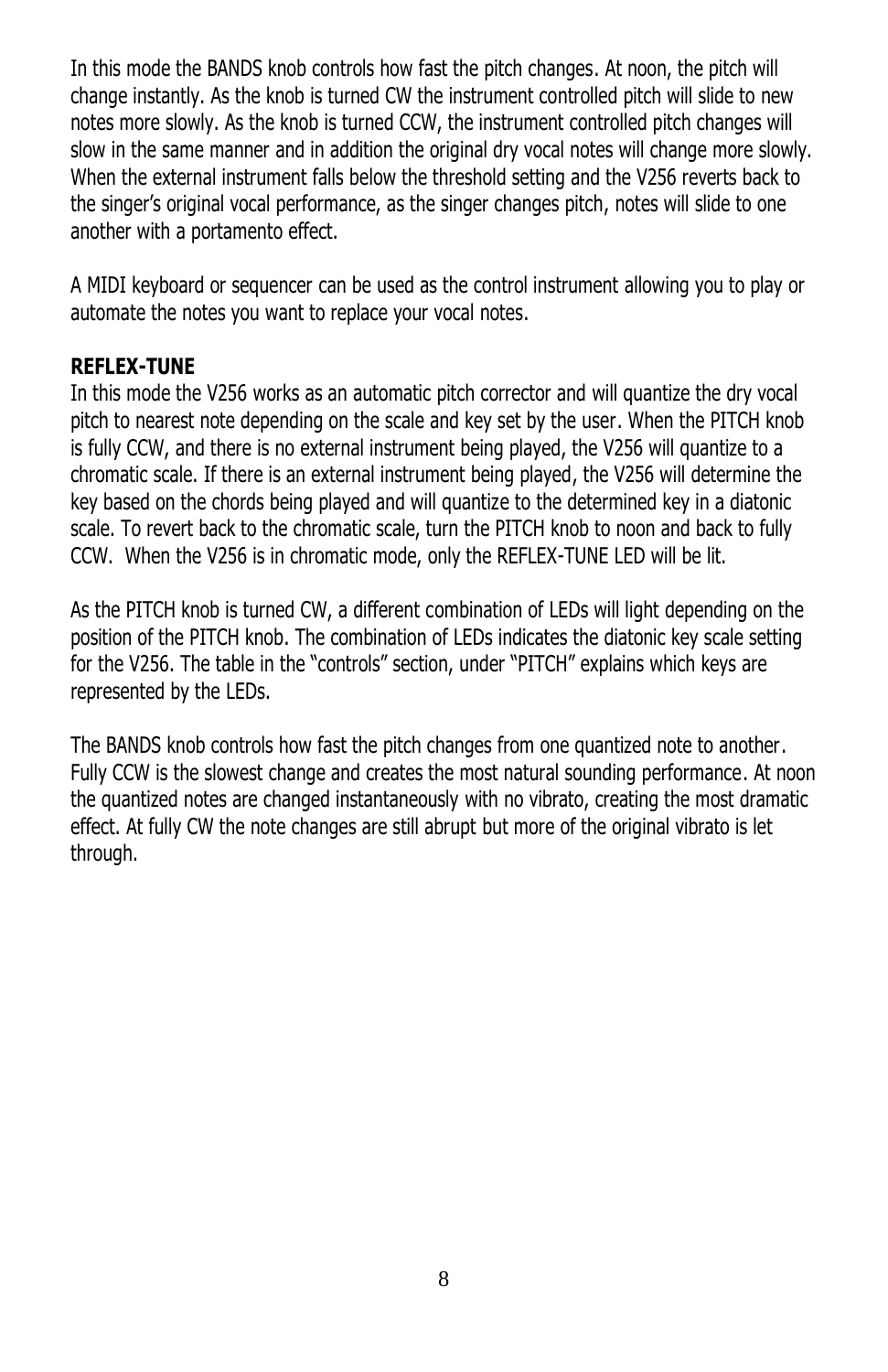In this mode the BANDS knob controls how fast the pitch changes. At noon, the pitch will change instantly. As the knob is turned CW the instrument controlled pitch will slide to new notes more slowly. As the knob is turned CCW, the instrument controlled pitch changes will slow in the same manner and in addition the original dry vocal notes will change more slowly. When the external instrument falls below the threshold setting and the V256 reverts back to the singer's original vocal performance, as the singer changes pitch, notes will slide to one another with a portamento effect.

A MIDI keyboard or sequencer can be used as the control instrument allowing you to play or automate the notes you want to replace your vocal notes.

#### **REFLEX-TUNE**

In this mode the V256 works as an automatic pitch corrector and will quantize the dry vocal pitch to nearest note depending on the scale and key set by the user. When the PITCH knob is fully CCW, and there is no external instrument being played, the V256 will quantize to a chromatic scale. If there is an external instrument being played, the V256 will determine the key based on the chords being played and will quantize to the determined key in a diatonic scale. To revert back to the chromatic scale, turn the PITCH knob to noon and back to fully CCW. When the V256 is in chromatic mode, only the REFLEX-TUNE LED will be lit.

As the PITCH knob is turned CW, a different combination of LEDs will light depending on the position of the PITCH knob. The combination of LEDs indicates the diatonic key scale setting for the V256. The table in the "controls" section, under "PITCH" explains which keys are represented by the LEDs.

The BANDS knob controls how fast the pitch changes from one quantized note to another. Fully CCW is the slowest change and creates the most natural sounding performance. At noon the quantized notes are changed instantaneously with no vibrato, creating the most dramatic effect. At fully CW the note changes are still abrupt but more of the original vibrato is let through.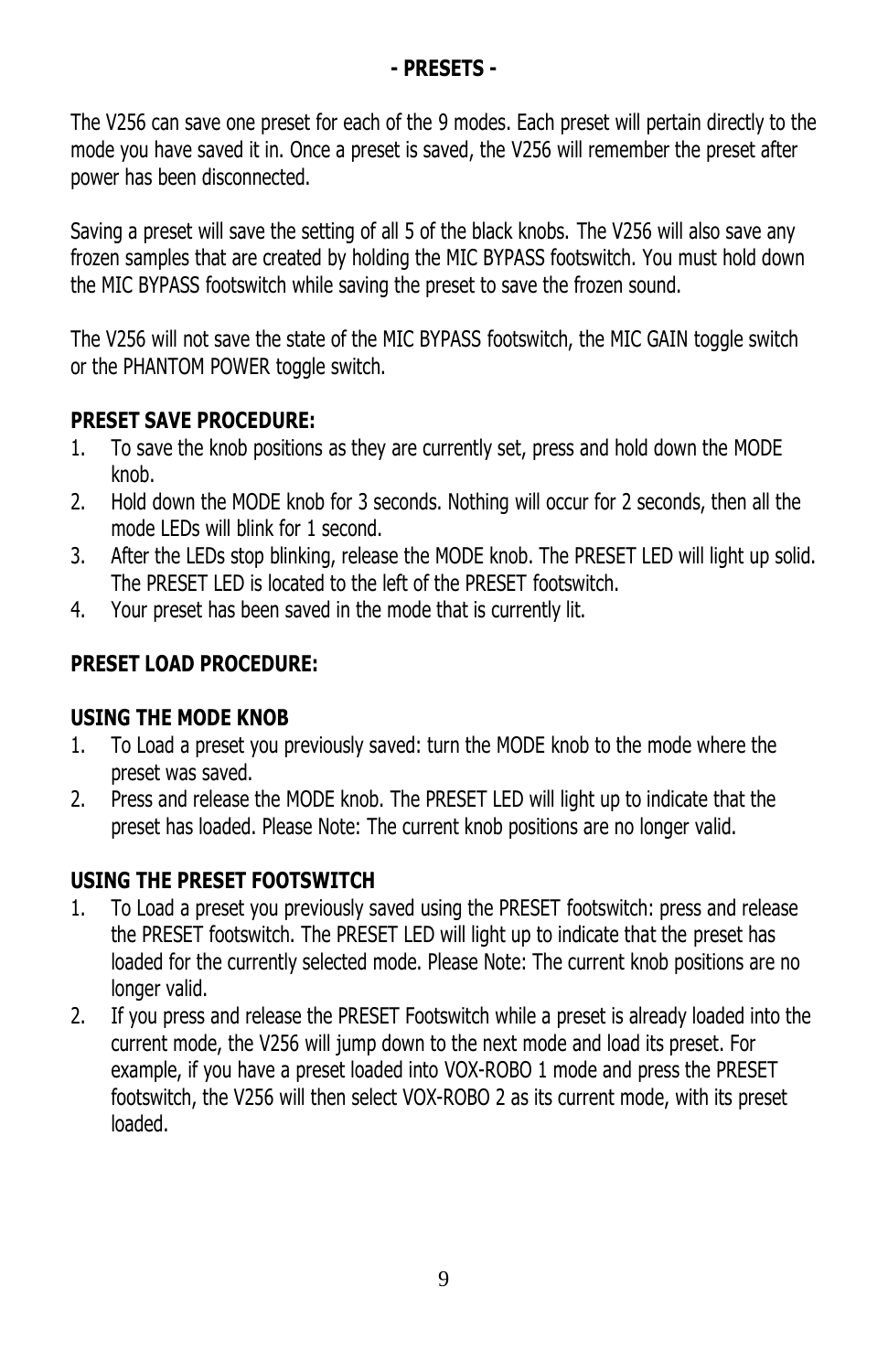#### **- PRESETS -**

The V256 can save one preset for each of the 9 modes. Each preset will pertain directly to the mode you have saved it in. Once a preset is saved, the V256 will remember the preset after power has been disconnected.

Saving a preset will save the setting of all 5 of the black knobs. The V256 will also save any frozen samples that are created by holding the MIC BYPASS footswitch. You must hold down the MIC BYPASS footswitch while saving the preset to save the frozen sound.

The V256 will not save the state of the MIC BYPASS footswitch, the MIC GAIN toggle switch or the PHANTOM POWER toggle switch.

# **PRESET SAVE PROCEDURE:**

- 1. To save the knob positions as they are currently set, press and hold down the MODE knob.
- 2. Hold down the MODE knob for 3 seconds. Nothing will occur for 2 seconds, then all the mode LEDs will blink for 1 second.
- 3. After the LEDs stop blinking, release the MODE knob. The PRESET LED will light up solid. The PRESET LED is located to the left of the PRESET footswitch.
- 4. Your preset has been saved in the mode that is currently lit.

# **PRESET LOAD PROCEDURE:**

#### **USING THE MODE KNOB**

- 1. To Load a preset you previously saved: turn the MODE knob to the mode where the preset was saved.
- 2. Press and release the MODE knob. The PRESET LED will light up to indicate that the preset has loaded. Please Note: The current knob positions are no longer valid.

## **USING THE PRESET FOOTSWITCH**

- 1. To Load a preset you previously saved using the PRESET footswitch: press and release the PRESET footswitch. The PRESET LED will light up to indicate that the preset has loaded for the currently selected mode. Please Note: The current knob positions are no longer valid.
- 2. If you press and release the PRESET Footswitch while a preset is already loaded into the current mode, the V256 will jump down to the next mode and load its preset. For example, if you have a preset loaded into VOX-ROBO 1 mode and press the PRESET footswitch, the V256 will then select VOX-ROBO 2 as its current mode, with its preset loaded.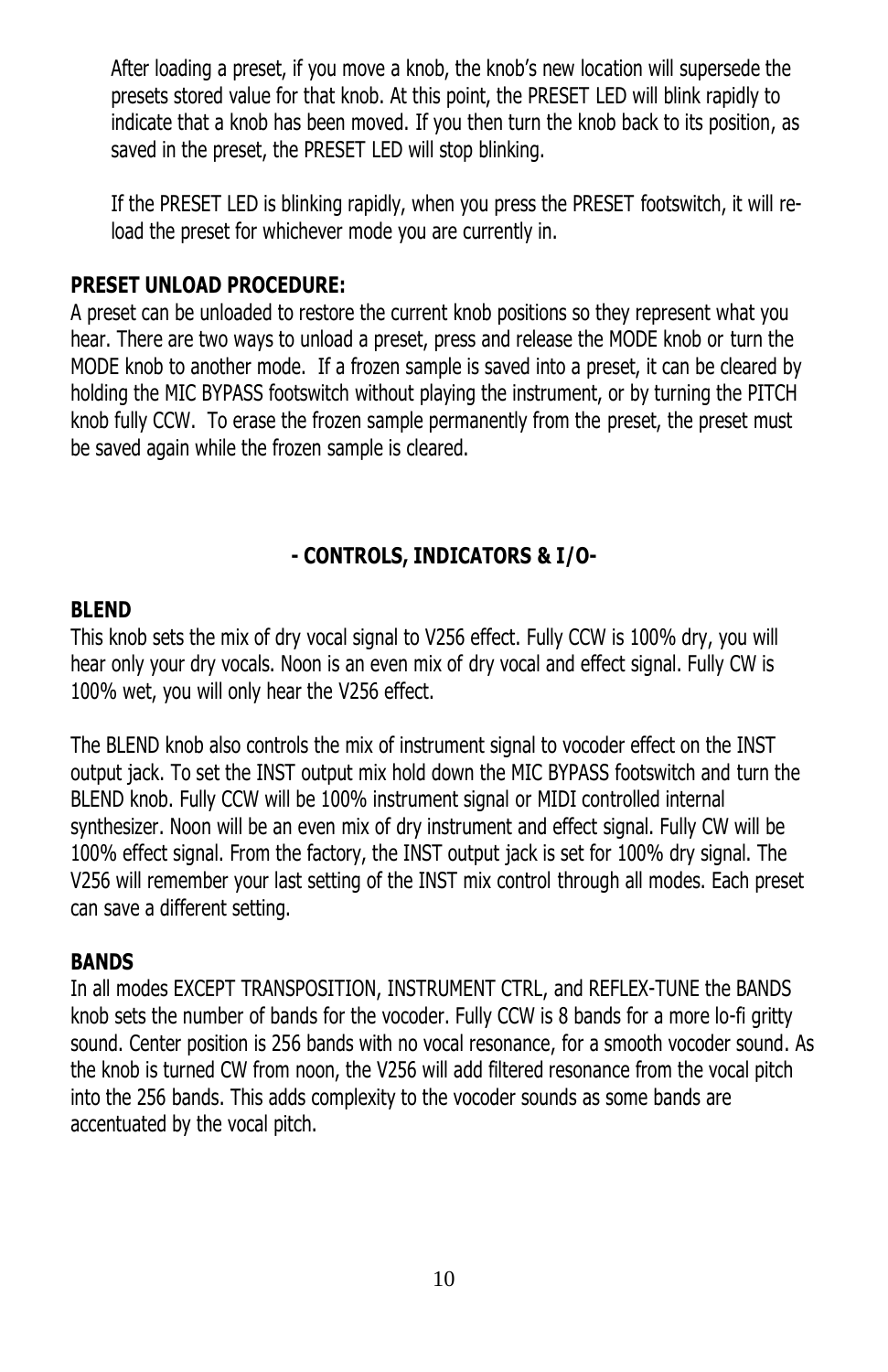After loading a preset, if you move a knob, the knob's new location will supersede the presets stored value for that knob. At this point, the PRESET LED will blink rapidly to indicate that a knob has been moved. If you then turn the knob back to its position, as saved in the preset, the PRESET LED will stop blinking.

If the PRESET LED is blinking rapidly, when you press the PRESET footswitch, it will reload the preset for whichever mode you are currently in.

#### **PRESET UNLOAD PROCEDURE:**

A preset can be unloaded to restore the current knob positions so they represent what you hear. There are two ways to unload a preset, press and release the MODE knob or turn the MODE knob to another mode. If a frozen sample is saved into a preset, it can be cleared by holding the MIC BYPASS footswitch without playing the instrument, or by turning the PITCH knob fully CCW. To erase the frozen sample permanently from the preset, the preset must be saved again while the frozen sample is cleared.

## **- CONTROLS, INDICATORS & I/O-**

#### **BLEND**

This knob sets the mix of dry vocal signal to V256 effect. Fully CCW is 100% dry, you will hear only your dry vocals. Noon is an even mix of dry vocal and effect signal. Fully CW is 100% wet, you will only hear the V256 effect.

The BLEND knob also controls the mix of instrument signal to vocoder effect on the INST output jack. To set the INST output mix hold down the MIC BYPASS footswitch and turn the BLEND knob. Fully CCW will be 100% instrument signal or MIDI controlled internal synthesizer. Noon will be an even mix of dry instrument and effect signal. Fully CW will be 100% effect signal. From the factory, the INST output jack is set for 100% dry signal. The V256 will remember your last setting of the INST mix control through all modes. Each preset can save a different setting.

#### **BANDS**

In all modes EXCEPT TRANSPOSITION, INSTRUMENT CTRL, and REFLEX-TUNE the BANDS knob sets the number of bands for the vocoder. Fully CCW is 8 bands for a more lo-fi gritty sound. Center position is 256 bands with no vocal resonance, for a smooth vocoder sound. As the knob is turned CW from noon, the V256 will add filtered resonance from the vocal pitch into the 256 bands. This adds complexity to the vocoder sounds as some bands are accentuated by the vocal pitch.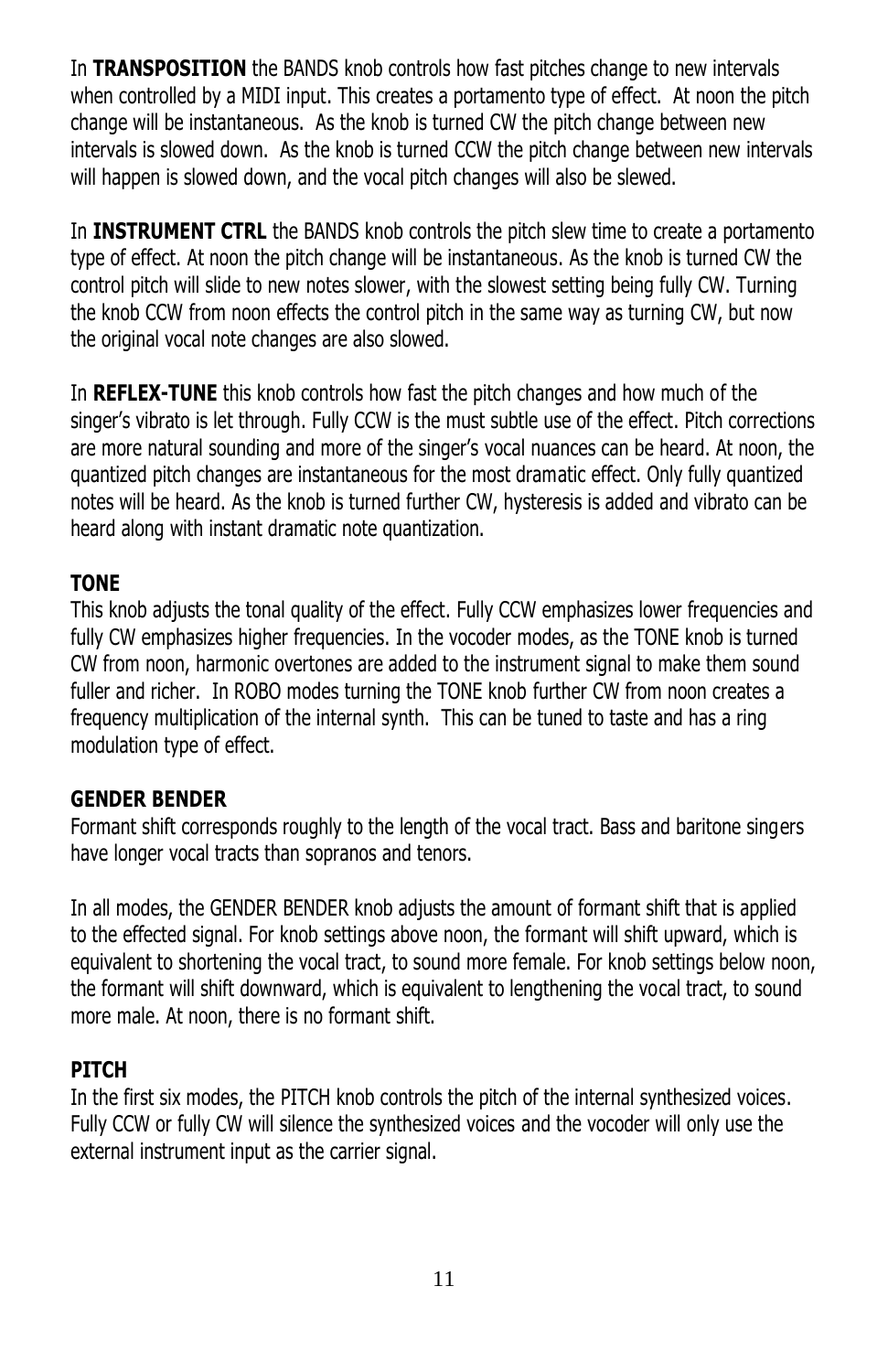In **TRANSPOSITION** the BANDS knob controls how fast pitches change to new intervals when controlled by a MIDI input. This creates a portamento type of effect. At noon the pitch change will be instantaneous. As the knob is turned CW the pitch change between new intervals is slowed down. As the knob is turned CCW the pitch change between new intervals will happen is slowed down, and the vocal pitch changes will also be slewed.

In **INSTRUMENT CTRL** the BANDS knob controls the pitch slew time to create a portamento type of effect. At noon the pitch change will be instantaneous. As the knob is turned CW the control pitch will slide to new notes slower, with the slowest setting being fully CW. Turning the knob CCW from noon effects the control pitch in the same way as turning CW, but now the original vocal note changes are also slowed.

In **REFLEX-TUNE** this knob controls how fast the pitch changes and how much of the singer's vibrato is let through. Fully CCW is the must subtle use of the effect. Pitch corrections are more natural sounding and more of the singer's vocal nuances can be heard. At noon, the quantized pitch changes are instantaneous for the most dramatic effect. Only fully quantized notes will be heard. As the knob is turned further CW, hysteresis is added and vibrato can be heard along with instant dramatic note quantization.

## **TONE**

This knob adjusts the tonal quality of the effect. Fully CCW emphasizes lower frequencies and fully CW emphasizes higher frequencies. In the vocoder modes, as the TONE knob is turned CW from noon, harmonic overtones are added to the instrument signal to make them sound fuller and richer. In ROBO modes turning the TONE knob further CW from noon creates a frequency multiplication of the internal synth. This can be tuned to taste and has a ring modulation type of effect.

## **GENDER BENDER**

Formant shift corresponds roughly to the length of the vocal tract. Bass and baritone singers have longer vocal tracts than sopranos and tenors.

In all modes, the GENDER BENDER knob adjusts the amount of formant shift that is applied to the effected signal. For knob settings above noon, the formant will shift upward, which is equivalent to shortening the vocal tract, to sound more female. For knob settings below noon, the formant will shift downward, which is equivalent to lengthening the vocal tract, to sound more male. At noon, there is no formant shift.

## **PITCH**

In the first six modes, the PITCH knob controls the pitch of the internal synthesized voices. Fully CCW or fully CW will silence the synthesized voices and the vocoder will only use the external instrument input as the carrier signal.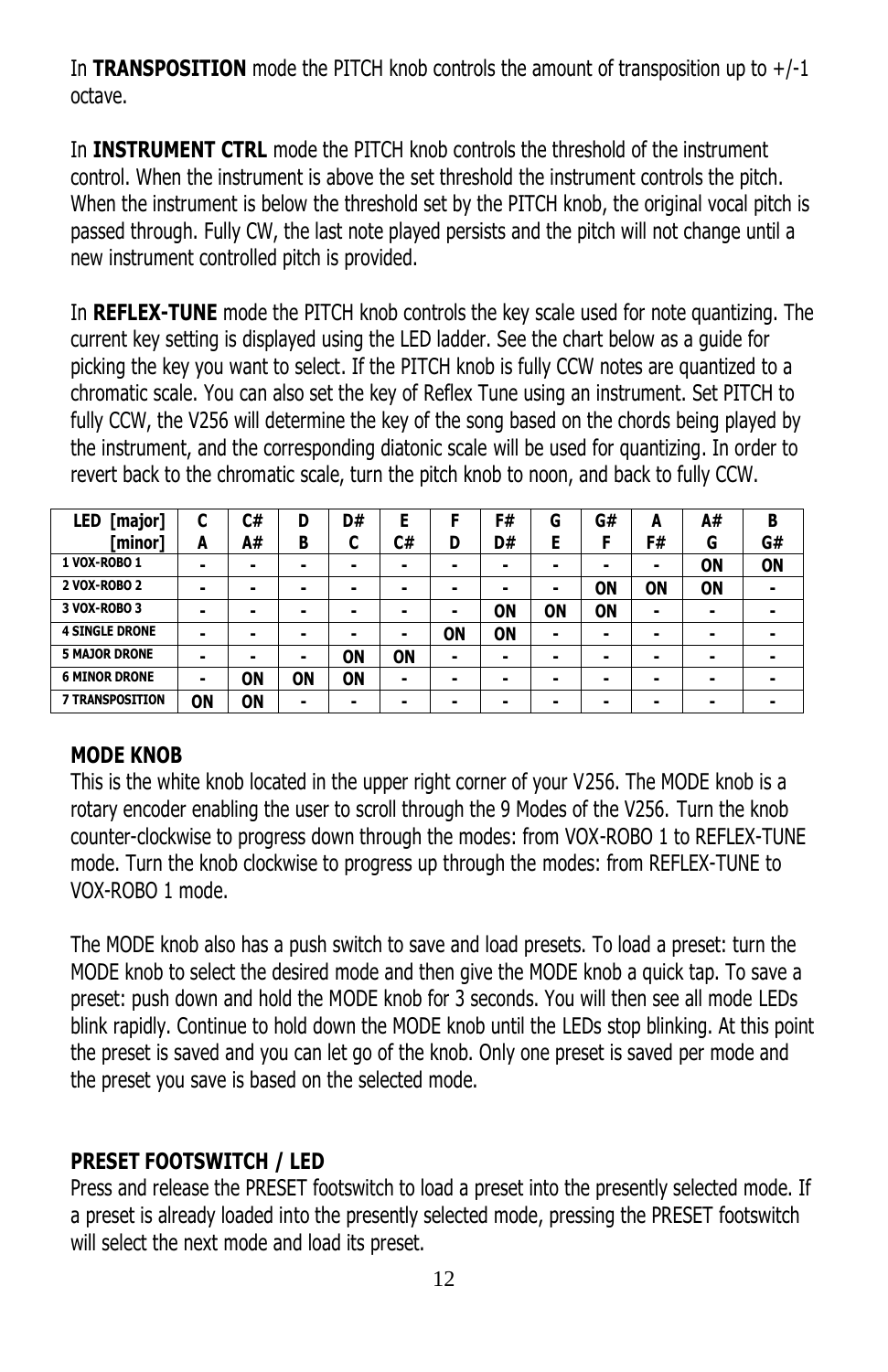In **TRANSPOSITION** mode the PITCH knob controls the amount of transposition up to  $+/-1$ octave.

In **INSTRUMENT CTRL** mode the PITCH knob controls the threshold of the instrument control. When the instrument is above the set threshold the instrument controls the pitch. When the instrument is below the threshold set by the PITCH knob, the original vocal pitch is passed through. Fully CW, the last note played persists and the pitch will not change until a new instrument controlled pitch is provided.

In **REFLEX-TUNE** mode the PITCH knob controls the key scale used for note quantizing. The current key setting is displayed using the LED ladder. See the chart below as a guide for picking the key you want to select. If the PITCH knob is fully CCW notes are quantized to a chromatic scale. You can also set the key of Reflex Tune using an instrument. Set PITCH to fully CCW, the V256 will determine the key of the song based on the chords being played by the instrument, and the corresponding diatonic scale will be used for quantizing. In order to revert back to the chromatic scale, turn the pitch knob to noon, and back to fully CCW.

| [major]<br>LED        | ┍<br>u | C# | D  | D# | Е  |    | F# | G         | G#        | A  | A# | В  |
|-----------------------|--------|----|----|----|----|----|----|-----------|-----------|----|----|----|
| [minor]               | A      | A# | В  |    | C# | D  | D# | E         |           | F# | G  | G# |
| 1 VOX-ROBO 1          | -      |    | -  |    |    |    | -  | -         | -         | -  | ΟN | ON |
| 2 VOX-ROBO 2          | -      |    | -  |    | -  |    |    |           | ON        | ON | ON |    |
| 3 VOX-ROBO 3          | -      |    | -  |    |    |    | ΟN | <b>ON</b> | <b>ON</b> | ۰  | -  |    |
| <b>4 SINGLE DRONE</b> |        |    | -  |    |    | ΟN | ON |           | -         |    | -  |    |
| <b>5 MAJOR DRONE</b>  |        |    | -  | ON | ON |    |    | -         | -         |    | -  |    |
| <b>6 MINOR DRONE</b>  |        | ΟN | ON | ON |    | -  |    | -         | -         | -  |    |    |
| 7 TRANSPOSITION       | ON     | ΟN | ۰  | -  |    |    |    | -         |           |    | -  |    |

## **MODE KNOB**

This is the white knob located in the upper right corner of your V256. The MODE knob is a rotary encoder enabling the user to scroll through the 9 Modes of the V256. Turn the knob counter-clockwise to progress down through the modes: from VOX-ROBO 1 to REFLEX-TUNE mode. Turn the knob clockwise to progress up through the modes: from REFLEX-TUNE to VOX-ROBO 1 mode.

The MODE knob also has a push switch to save and load presets. To load a preset: turn the MODE knob to select the desired mode and then give the MODE knob a quick tap. To save a preset: push down and hold the MODE knob for 3 seconds. You will then see all mode LEDs blink rapidly. Continue to hold down the MODE knob until the LEDs stop blinking. At this point the preset is saved and you can let go of the knob. Only one preset is saved per mode and the preset you save is based on the selected mode.

## **PRESET FOOTSWITCH / LED**

Press and release the PRESET footswitch to load a preset into the presently selected mode. If a preset is already loaded into the presently selected mode, pressing the PRESET footswitch will select the next mode and load its preset.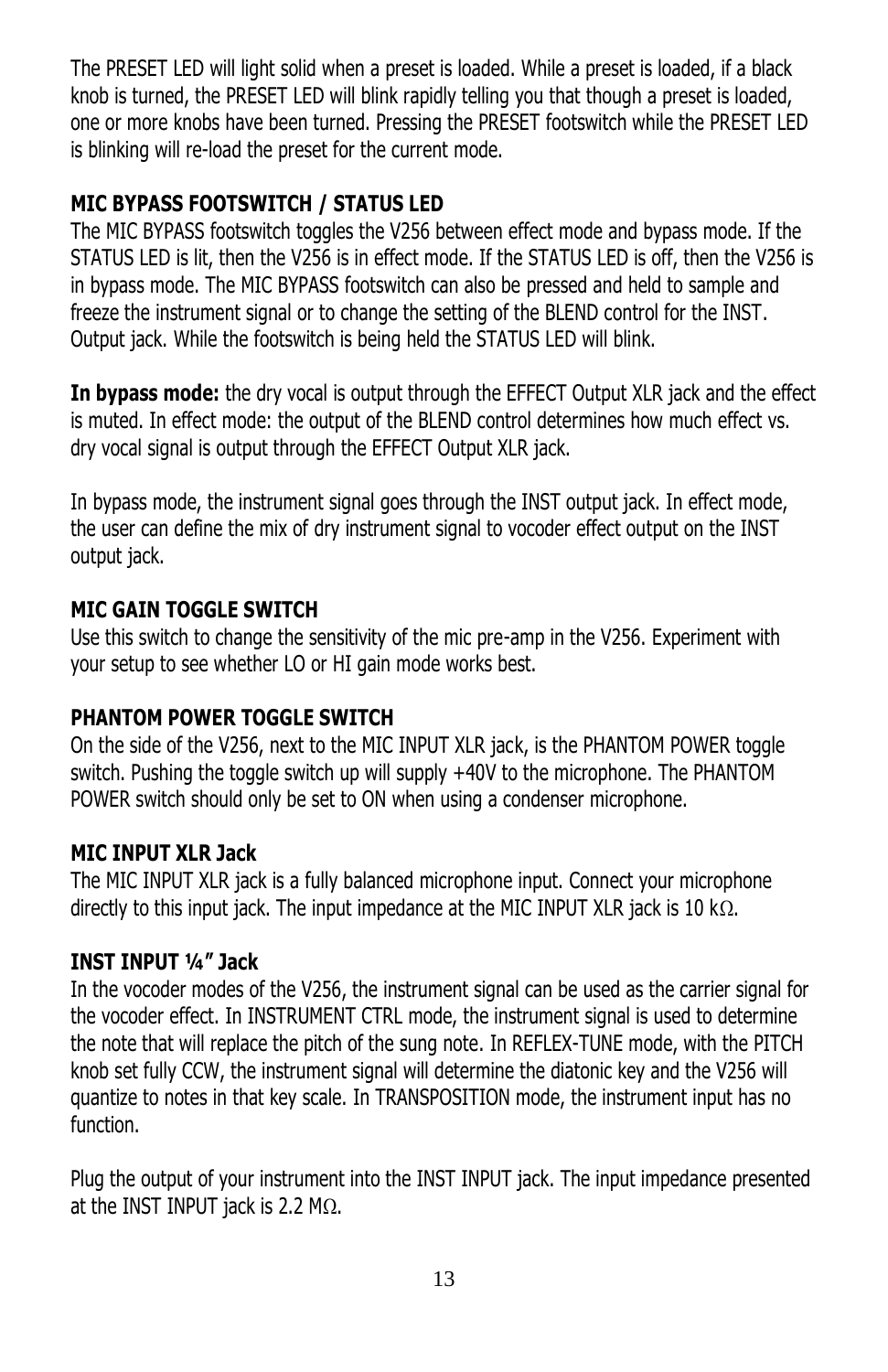The PRESET LED will light solid when a preset is loaded. While a preset is loaded, if a black knob is turned, the PRESET LED will blink rapidly telling you that though a preset is loaded, one or more knobs have been turned. Pressing the PRESET footswitch while the PRESET LED is blinking will re-load the preset for the current mode.

# **MIC BYPASS FOOTSWITCH / STATUS LED**

The MIC BYPASS footswitch toggles the V256 between effect mode and bypass mode. If the STATUS LED is lit, then the V256 is in effect mode. If the STATUS LED is off, then the V256 is in bypass mode. The MIC BYPASS footswitch can also be pressed and held to sample and freeze the instrument signal or to change the setting of the BLEND control for the INST. Output jack. While the footswitch is being held the STATUS LED will blink.

**In bypass mode:** the dry vocal is output through the EFFECT Output XLR jack and the effect is muted. In effect mode: the output of the BLEND control determines how much effect vs. dry vocal signal is output through the EFFECT Output XLR jack.

In bypass mode, the instrument signal goes through the INST output jack. In effect mode, the user can define the mix of dry instrument signal to vocoder effect output on the INST output jack.

## **MIC GAIN TOGGLE SWITCH**

Use this switch to change the sensitivity of the mic pre-amp in the V256. Experiment with your setup to see whether LO or HI gain mode works best.

## **PHANTOM POWER TOGGLE SWITCH**

On the side of the V256, next to the MIC INPUT XLR jack, is the PHANTOM POWER toggle switch. Pushing the toggle switch up will supply +40V to the microphone. The PHANTOM POWER switch should only be set to ON when using a condenser microphone.

#### **MIC INPUT XLR Jack**

The MIC INPUT XLR jack is a fully balanced microphone input. Connect your microphone directly to this input jack. The input impedance at the MIC INPUT XLR jack is 10 k $\Omega$ .

## **INST INPUT ¼" Jack**

In the vocoder modes of the V256, the instrument signal can be used as the carrier signal for the vocoder effect. In INSTRUMENT CTRL mode, the instrument signal is used to determine the note that will replace the pitch of the sung note. In REFLEX-TUNE mode, with the PITCH knob set fully CCW, the instrument signal will determine the diatonic key and the V256 will quantize to notes in that key scale. In TRANSPOSITION mode, the instrument input has no function.

Plug the output of your instrument into the INST INPUT jack. The input impedance presented at the INST INPUT jack is 2.2 M $\Omega$ .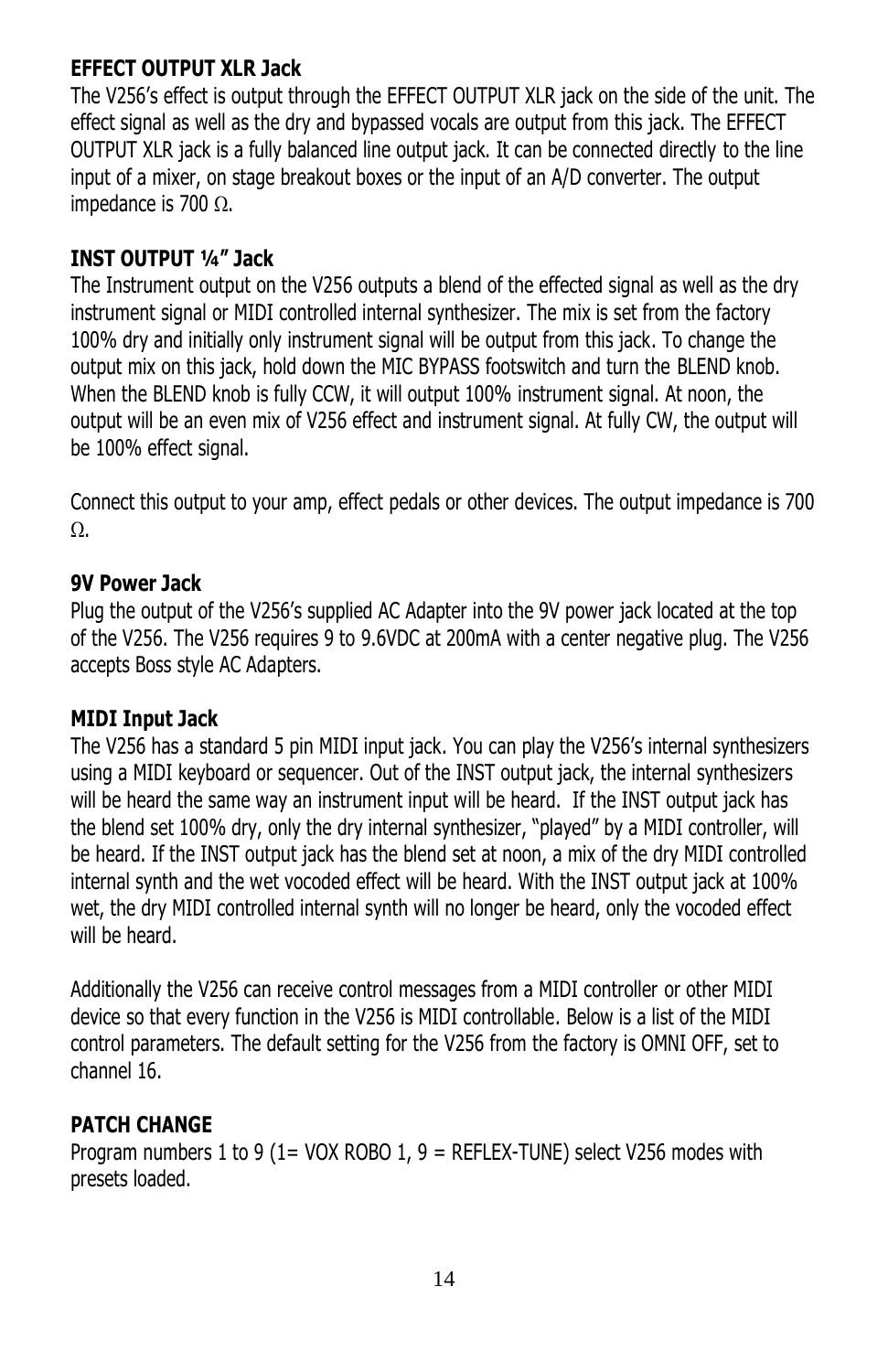## **EFFECT OUTPUT XLR Jack**

The V256's effect is output through the EFFECT OUTPUT XLR jack on the side of the unit. The effect signal as well as the dry and bypassed vocals are output from this jack. The EFFECT OUTPUT XLR jack is a fully balanced line output jack. It can be connected directly to the line input of a mixer, on stage breakout boxes or the input of an A/D converter. The output impedance is 700  $\Omega$ .

#### **INST OUTPUT ¼" Jack**

The Instrument output on the V256 outputs a blend of the effected signal as well as the dry instrument signal or MIDI controlled internal synthesizer. The mix is set from the factory 100% dry and initially only instrument signal will be output from this jack. To change the output mix on this jack, hold down the MIC BYPASS footswitch and turn the BLEND knob. When the BLEND knob is fully CCW, it will output 100% instrument signal. At noon, the output will be an even mix of V256 effect and instrument signal. At fully CW, the output will be 100% effect signal.

Connect this output to your amp, effect pedals or other devices. The output impedance is 700  $\Omega$ .

#### **9V Power Jack**

Plug the output of the V256's supplied AC Adapter into the 9V power jack located at the top of the V256. The V256 requires 9 to 9.6VDC at 200mA with a center negative plug. The V256 accepts Boss style AC Adapters.

#### **MIDI Input Jack**

The V256 has a standard 5 pin MIDI input jack. You can play the V256's internal synthesizers using a MIDI keyboard or sequencer. Out of the INST output jack, the internal synthesizers will be heard the same way an instrument input will be heard. If the INST output jack has the blend set 100% dry, only the dry internal synthesizer, "played" by a MIDI controller, will be heard. If the INST output jack has the blend set at noon, a mix of the dry MIDI controlled internal synth and the wet vocoded effect will be heard. With the INST output jack at 100% wet, the dry MIDI controlled internal synth will no longer be heard, only the vocoded effect will be heard.

Additionally the V256 can receive control messages from a MIDI controller or other MIDI device so that every function in the V256 is MIDI controllable. Below is a list of the MIDI control parameters. The default setting for the V256 from the factory is OMNI OFF, set to channel 16.

## **PATCH CHANGE**

Program numbers 1 to 9 (1= VOX ROBO 1, 9 = REFLEX-TUNE) select V256 modes with presets loaded.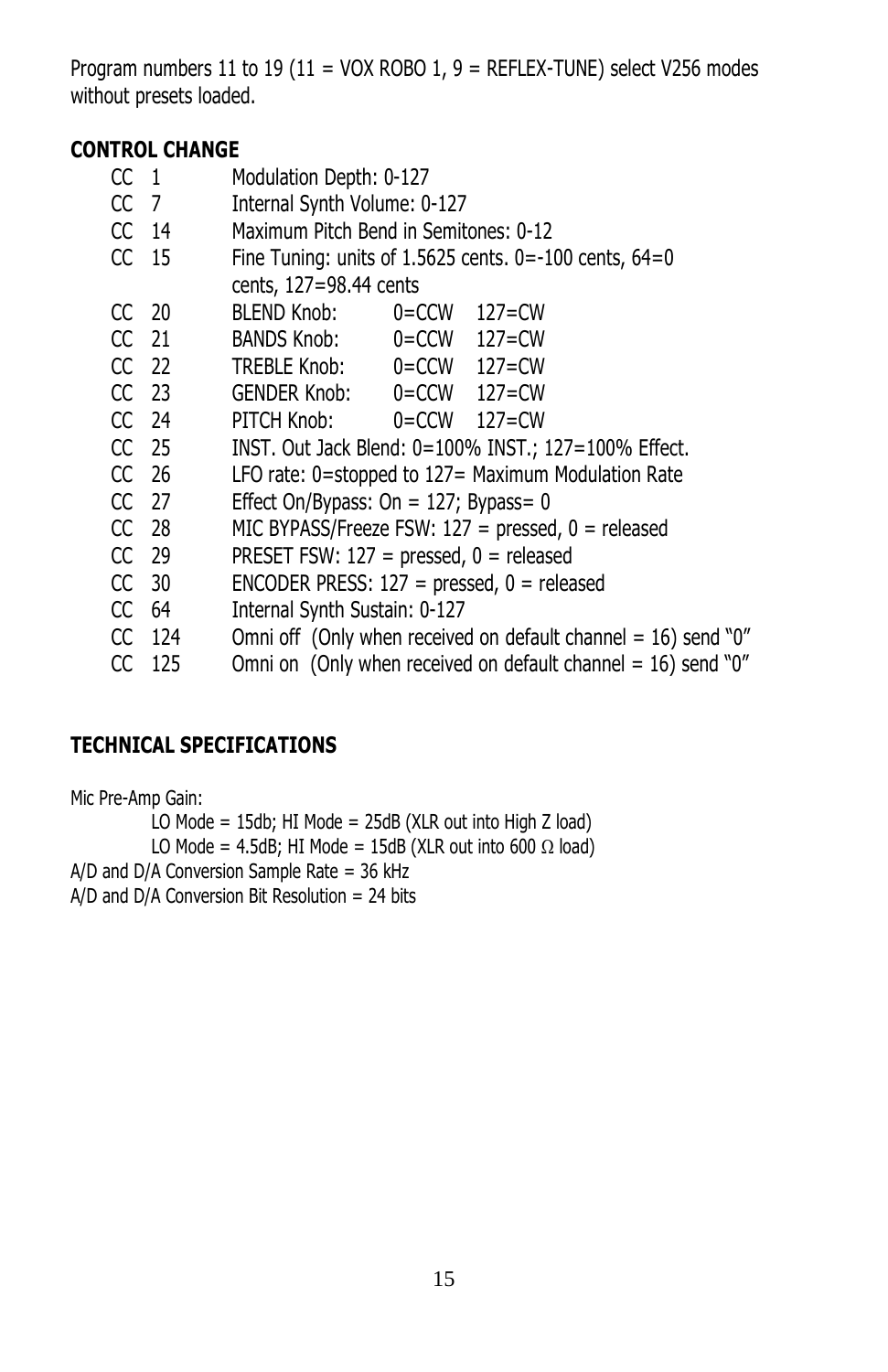Program numbers 11 to 19 (11 = VOX ROBO 1, 9 = REFLEX-TUNE) select V256 modes without presets loaded.

## **CONTROL CHANGE**

| CC <sub>1</sub> |                  | Modulation Depth: 0-127                                           |  |                  |  |  |  |  |
|-----------------|------------------|-------------------------------------------------------------------|--|------------------|--|--|--|--|
| CC 7            |                  | Internal Synth Volume: 0-127                                      |  |                  |  |  |  |  |
|                 | $CC$ 14          | Maximum Pitch Bend in Semitones: 0-12                             |  |                  |  |  |  |  |
|                 | CC 15            | Fine Tuning: units of $1.5625$ cents. 0=-100 cents, 64=0          |  |                  |  |  |  |  |
|                 |                  | cents, 127=98.44 cents                                            |  |                  |  |  |  |  |
|                 | CC 20            | BLEND Knob:                                                       |  | $0 = CCW$ 127=CW |  |  |  |  |
|                 | CC 21            | BANDS Knob: 0=CCW 127=CW                                          |  |                  |  |  |  |  |
|                 | $CC$ 22          | TREBLE Knob: 0=CCW 127=CW                                         |  |                  |  |  |  |  |
|                 | CC 23            | GENDER Knob: 0=CCW 127=CW                                         |  |                  |  |  |  |  |
|                 | CC 24            | PITCH Knob: 0=CCW 127=CW                                          |  |                  |  |  |  |  |
|                 | CC <sub>25</sub> | INST. Out Jack Blend: 0=100% INST.; 127=100% Effect.              |  |                  |  |  |  |  |
|                 | CC 26            | LFO rate: 0=stopped to 127= Maximum Modulation Rate               |  |                  |  |  |  |  |
|                 | CC 27            | Effect On/Bypass: On = $127$ ; Bypass= 0                          |  |                  |  |  |  |  |
|                 | CC 28            | MIC BYPASS/Freeze FSW: $127$ = pressed, $0$ = released            |  |                  |  |  |  |  |
|                 | CC 29            | PRESET FSW: $127$ = pressed, $0$ = released                       |  |                  |  |  |  |  |
|                 | CC 30            | ENCODER PRESS: $127$ = pressed, $0$ = released                    |  |                  |  |  |  |  |
|                 | CC 64            | Internal Synth Sustain: 0-127                                     |  |                  |  |  |  |  |
|                 | CC 124           | Omni off (Only when received on default channel = $16$ ) send "0" |  |                  |  |  |  |  |
|                 |                  |                                                                   |  |                  |  |  |  |  |

CC  $125$  Omni on (Only when received on default channel = 16) send "0"

# **TECHNICAL SPECIFICATIONS**

Mic Pre-Amp Gain: LO Mode = 15db; HI Mode = 25dB (XLR out into High Z load) LO Mode = 4.5dB; HI Mode = 15dB (XLR out into 600  $\Omega$  load) A/D and D/A Conversion Sample Rate = 36 kHz A/D and D/A Conversion Bit Resolution = 24 bits